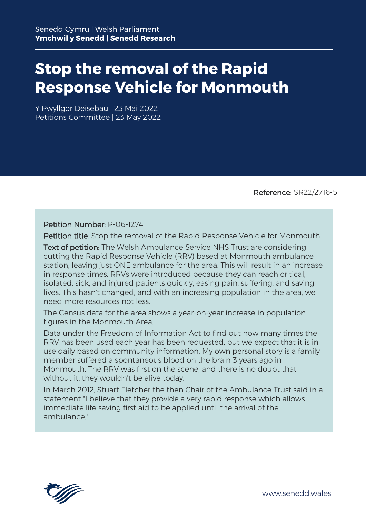## **Stop the removal of the Rapid Response Vehicle for Monmouth**

Y Pwyllgor Deisebau | 23 Mai 2022 Petitions Committee | 23 May 2022

Reference: SR22/2716-5

Petition Number: P-06-1274

Petition title: Stop the removal of the Rapid Response Vehicle for Monmouth

Text of petition: The Welsh Ambulance Service NHS Trust are considering cutting the Rapid Response Vehicle (RRV) based at Monmouth ambulance station, leaving just ONE ambulance for the area. This will result in an increase in response times. RRVs were introduced because they can reach critical, isolated, sick, and injured patients quickly, easing pain, suffering, and saving lives. This hasn't changed, and with an increasing population in the area, we need more resources not less.

The Census data for the area shows a year-on-year increase in population figures in the Monmouth Area.

Data under the Freedom of Information Act to find out how many times the RRV has been used each year has been requested, but we expect that it is in use daily based on community information. My own personal story is a family member suffered a spontaneous blood on the brain 3 years ago in Monmouth. The RRV was first on the scene, and there is no doubt that without it, they wouldn't be alive today.

In March 2012, Stuart Fletcher the then Chair of the Ambulance Trust said in a statement "I believe that they provide a very rapid response which allows immediate life saving first aid to be applied until the arrival of the ambulance."

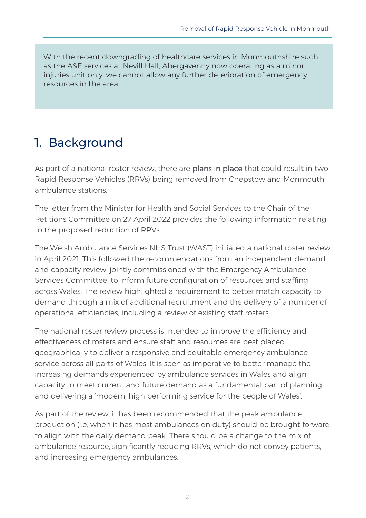With the recent downgrading of healthcare services in Monmouthshire such as the A&E services at Nevill Hall, Abergavenny now operating as a minor injuries unit only, we cannot allow any further deterioration of emergency resources in the area.

## 1. Background

As part of a national roster review, there are [plans in place](https://www.southwalesargus.co.uk/news/19969797.chepstow-monmouth-ambulance-station-cuts-concern/) that could result in two Rapid Response Vehicles (RRVs) being removed from Chepstow and Monmouth ambulance stations.

The letter from the Minister for Health and Social Services to the Chair of the Petitions Committee on 27 April 2022 provides the following information relating to the proposed reduction of RRVs.

The Welsh Ambulance Services NHS Trust (WAST) initiated a national roster review in April 2021. This followed the recommendations from an independent demand and capacity review, jointly commissioned with the Emergency Ambulance Services Committee, to inform future configuration of resources and staffing across Wales. The review highlighted a requirement to better match capacity to demand through a mix of additional recruitment and the delivery of a number of operational efficiencies, including a review of existing staff rosters.

The national roster review process is intended to improve the efficiency and effectiveness of rosters and ensure staff and resources are best placed geographically to deliver a responsive and equitable emergency ambulance service across all parts of Wales. It is seen as imperative to better manage the increasing demands experienced by ambulance services in Wales and align capacity to meet current and future demand as a fundamental part of planning and delivering a 'modern, high performing service for the people of Wales'.

As part of the review, it has been recommended that the peak ambulance production (i.e. when it has most ambulances on duty) should be brought forward to align with the daily demand peak. There should be a change to the mix of ambulance resource, significantly reducing RRVs, which do not convey patients, and increasing emergency ambulances.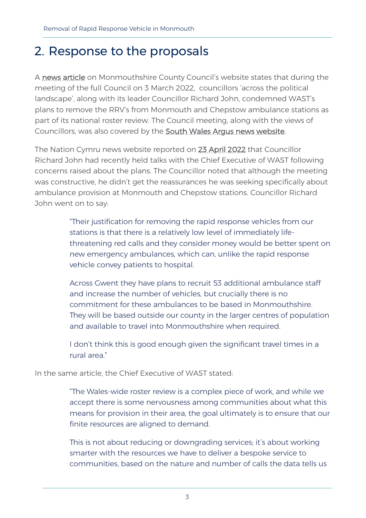## 2. Response to the proposals

A [news article](https://www.monmouthshire.gov.uk/2022/03/cross-party-condemnation-of-ambulance-service-plans-to-remove-rapid-response-vehicles/) on Monmouthshire County Council's website states that during the meeting of the full Council on 3 March 2022, councillors 'across the political landscape', along with its leader Councillor Richard John, condemned WAST's plans to remove the RRV's from Monmouth and Chepstow ambulance stations as part of its national roster review. The Council meeting, along with the views of Councillors, was also covered by the [South Wales Argus news website.](https://www.southwalesargus.co.uk/news/19969797.chepstow-monmouth-ambulance-station-cuts-concern/)

The Nation Cymru news website reported on [23 April 2022](https://nation.cymru/news/3000-sign-petition-opposing-axing-of-monmouths-only-rapid-response-vehicle/) that Councillor Richard John had recently held talks with the Chief Executive of WAST following concerns raised about the plans. The Councillor noted that although the meeting was constructive, he didn't get the reassurances he was seeking specifically about ambulance provision at Monmouth and Chepstow stations. Councillor Richard John went on to say:

> "Their justification for removing the rapid response vehicles from our stations is that there is a relatively low level of immediately lifethreatening red calls and they consider money would be better spent on new emergency ambulances, which can, unlike the rapid response vehicle convey patients to hospital.

> Across Gwent they have plans to recruit 53 additional ambulance staff and increase the number of vehicles, but crucially there is no commitment for these ambulances to be based in Monmouthshire. They will be based outside our county in the larger centres of population and available to travel into Monmouthshire when required.

I don't think this is good enough given the significant travel times in a rural area."

In the same article, the Chief Executive of WAST stated:

"The Wales-wide roster review is a complex piece of work, and while we accept there is some nervousness among communities about what this means for provision in their area, the goal ultimately is to ensure that our finite resources are aligned to demand.

This is not about reducing or downgrading services; it's about working smarter with the resources we have to deliver a bespoke service to communities, based on the nature and number of calls the data tells us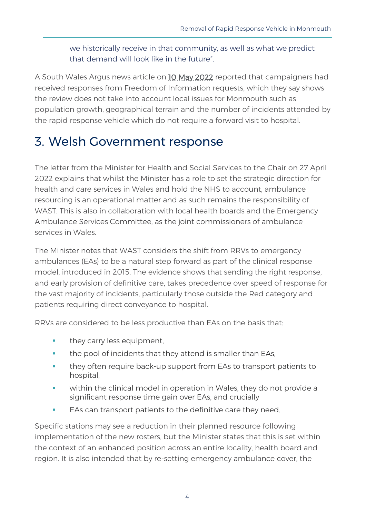we historically receive in that community, as well as what we predict that demand will look like in the future".

A South Wales Argus news article on [10 May 2022](https://www.southwalesargus.co.uk/news/20127791.monmouth-rapid-response-vehicle-removal-petition-hits-3k/) reported that campaigners had received responses from Freedom of Information requests, which they say shows the review does not take into account local issues for Monmouth such as population growth, geographical terrain and the number of incidents attended by the rapid response vehicle which do not require a forward visit to hospital.

## 3. Welsh Government response

The letter from the Minister for Health and Social Services to the Chair on 27 April 2022 explains that whilst the Minister has a role to set the strategic direction for health and care services in Wales and hold the NHS to account, ambulance resourcing is an operational matter and as such remains the responsibility of WAST. This is also in collaboration with local health boards and the Emergency Ambulance Services Committee, as the joint commissioners of ambulance services in Wales.

The Minister notes that WAST considers the shift from RRVs to emergency ambulances (EAs) to be a natural step forward as part of the clinical response model, introduced in 2015. The evidence shows that sending the right response, and early provision of definitive care, takes precedence over speed of response for the vast majority of incidents, particularly those outside the Red category and patients requiring direct conveyance to hospital.

RRVs are considered to be less productive than EAs on the basis that:

- they carry less equipment,
- **the pool of incidents that they attend is smaller than EAs.**
- they often require back-up support from EAs to transport patients to hospital,
- within the clinical model in operation in Wales, they do not provide a significant response time gain over EAs, and crucially
- EAs can transport patients to the definitive care they need.

Specific stations may see a reduction in their planned resource following implementation of the new rosters, but the Minister states that this is set within the context of an enhanced position across an entire locality, health board and region. It is also intended that by re-setting emergency ambulance cover, the